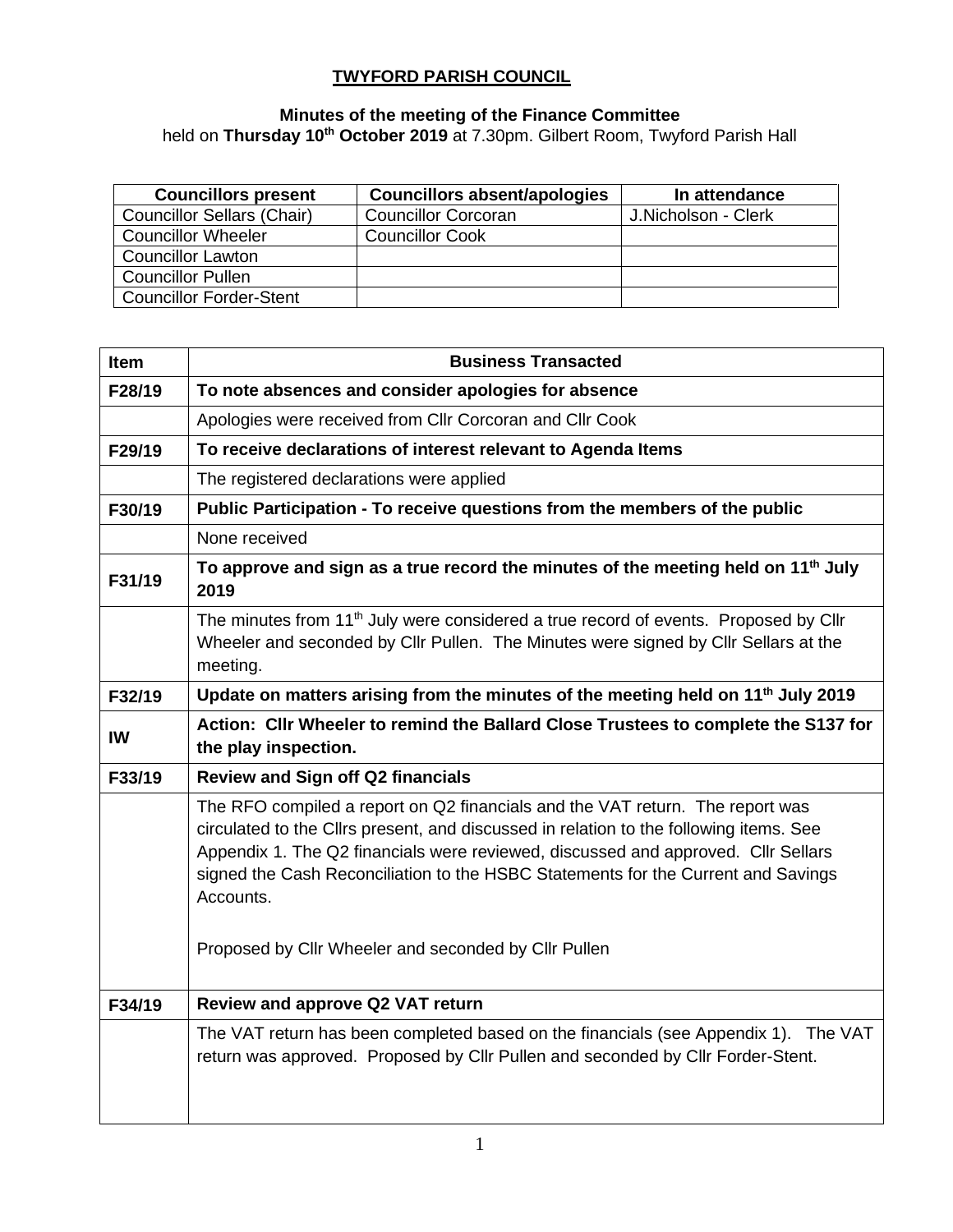## **TWYFORD PARISH COUNCIL**

#### **Minutes of the meeting of the Finance Committee**

held on **Thursday 10th October 2019** at 7.30pm. Gilbert Room, Twyford Parish Hall

| <b>Councillors present</b>        | <b>Councillors absent/apologies</b> | In attendance       |
|-----------------------------------|-------------------------------------|---------------------|
| <b>Councillor Sellars (Chair)</b> | <b>Councillor Corcoran</b>          | J.Nicholson - Clerk |
| <b>Councillor Wheeler</b>         | <b>Councillor Cook</b>              |                     |
| <b>Councillor Lawton</b>          |                                     |                     |
| <b>Councillor Pullen</b>          |                                     |                     |
| <b>Councillor Forder-Stent</b>    |                                     |                     |

| Item   | <b>Business Transacted</b>                                                                                                                                                                                                                                                                                                                                                                                             |
|--------|------------------------------------------------------------------------------------------------------------------------------------------------------------------------------------------------------------------------------------------------------------------------------------------------------------------------------------------------------------------------------------------------------------------------|
| F28/19 | To note absences and consider apologies for absence                                                                                                                                                                                                                                                                                                                                                                    |
|        | Apologies were received from Cllr Corcoran and Cllr Cook                                                                                                                                                                                                                                                                                                                                                               |
| F29/19 | To receive declarations of interest relevant to Agenda Items                                                                                                                                                                                                                                                                                                                                                           |
|        | The registered declarations were applied                                                                                                                                                                                                                                                                                                                                                                               |
| F30/19 | Public Participation - To receive questions from the members of the public                                                                                                                                                                                                                                                                                                                                             |
|        | None received                                                                                                                                                                                                                                                                                                                                                                                                          |
| F31/19 | To approve and sign as a true record the minutes of the meeting held on 11 <sup>th</sup> July<br>2019                                                                                                                                                                                                                                                                                                                  |
|        | The minutes from 11 <sup>th</sup> July were considered a true record of events. Proposed by Cllr<br>Wheeler and seconded by Cllr Pullen. The Minutes were signed by Cllr Sellars at the<br>meeting.                                                                                                                                                                                                                    |
| F32/19 | Update on matters arising from the minutes of the meeting held on 11 <sup>th</sup> July 2019                                                                                                                                                                                                                                                                                                                           |
| IW     | Action: Cllr Wheeler to remind the Ballard Close Trustees to complete the S137 for<br>the play inspection.                                                                                                                                                                                                                                                                                                             |
| F33/19 | <b>Review and Sign off Q2 financials</b>                                                                                                                                                                                                                                                                                                                                                                               |
|        | The RFO compiled a report on Q2 financials and the VAT return. The report was<br>circulated to the Cllrs present, and discussed in relation to the following items. See<br>Appendix 1. The Q2 financials were reviewed, discussed and approved. Cllr Sellars<br>signed the Cash Reconciliation to the HSBC Statements for the Current and Savings<br>Accounts.<br>Proposed by Cllr Wheeler and seconded by Cllr Pullen |
| F34/19 | Review and approve Q2 VAT return                                                                                                                                                                                                                                                                                                                                                                                       |
|        | The VAT return has been completed based on the financials (see Appendix 1). The VAT<br>return was approved. Proposed by Cllr Pullen and seconded by Cllr Forder-Stent.                                                                                                                                                                                                                                                 |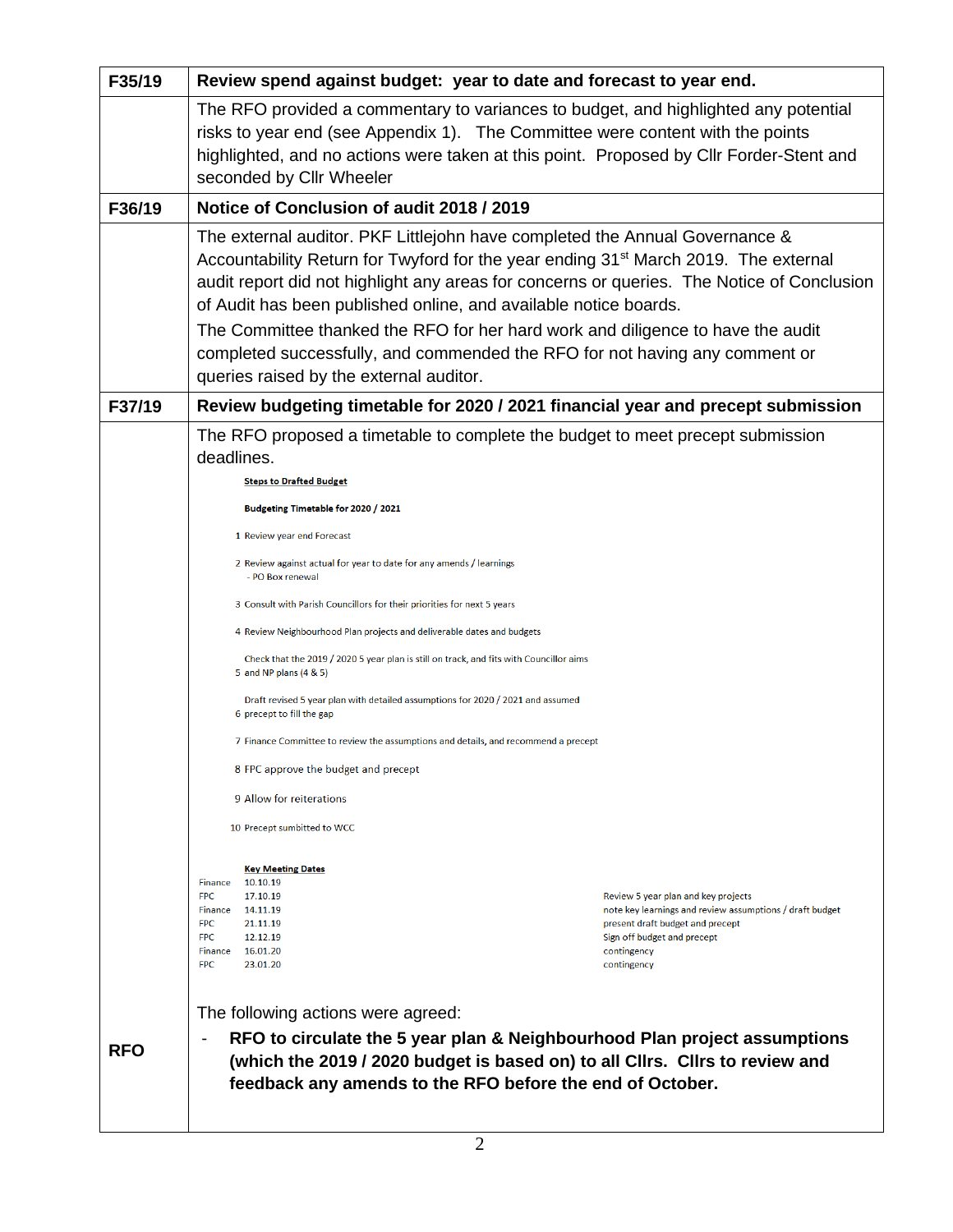| F35/19     | Review spend against budget: year to date and forecast to year end.                                                                                                                                                                                                                                                                                                                                                                 |                                                                                                                                                                                                  |  |  |  |
|------------|-------------------------------------------------------------------------------------------------------------------------------------------------------------------------------------------------------------------------------------------------------------------------------------------------------------------------------------------------------------------------------------------------------------------------------------|--------------------------------------------------------------------------------------------------------------------------------------------------------------------------------------------------|--|--|--|
|            | The RFO provided a commentary to variances to budget, and highlighted any potential<br>risks to year end (see Appendix 1). The Committee were content with the points<br>highlighted, and no actions were taken at this point. Proposed by Cllr Forder-Stent and<br>seconded by Cllr Wheeler                                                                                                                                        |                                                                                                                                                                                                  |  |  |  |
| F36/19     | Notice of Conclusion of audit 2018 / 2019                                                                                                                                                                                                                                                                                                                                                                                           |                                                                                                                                                                                                  |  |  |  |
|            | The external auditor. PKF Littlejohn have completed the Annual Governance &<br>Accountability Return for Twyford for the year ending 31 <sup>st</sup> March 2019. The external<br>audit report did not highlight any areas for concerns or queries. The Notice of Conclusion<br>of Audit has been published online, and available notice boards.<br>The Committee thanked the RFO for her hard work and diligence to have the audit |                                                                                                                                                                                                  |  |  |  |
|            | completed successfully, and commended the RFO for not having any comment or<br>queries raised by the external auditor.                                                                                                                                                                                                                                                                                                              |                                                                                                                                                                                                  |  |  |  |
| F37/19     | Review budgeting timetable for 2020 / 2021 financial year and precept submission                                                                                                                                                                                                                                                                                                                                                    |                                                                                                                                                                                                  |  |  |  |
|            | The RFO proposed a timetable to complete the budget to meet precept submission<br>deadlines.<br><b>Steps to Drafted Budget</b>                                                                                                                                                                                                                                                                                                      |                                                                                                                                                                                                  |  |  |  |
|            | Budgeting Timetable for 2020 / 2021                                                                                                                                                                                                                                                                                                                                                                                                 |                                                                                                                                                                                                  |  |  |  |
|            | 1 Review year end Forecast                                                                                                                                                                                                                                                                                                                                                                                                          |                                                                                                                                                                                                  |  |  |  |
|            | 2 Review against actual for year to date for any amends / learnings<br>- PO Box renewal                                                                                                                                                                                                                                                                                                                                             |                                                                                                                                                                                                  |  |  |  |
|            | 3 Consult with Parish Councillors for their priorities for next 5 years<br>4 Review Neighbourhood Plan projects and deliverable dates and budgets<br>Check that the 2019 / 2020 5 year plan is still on track, and fits with Councillor aims<br>5 and NP plans (4 & 5)                                                                                                                                                              |                                                                                                                                                                                                  |  |  |  |
|            |                                                                                                                                                                                                                                                                                                                                                                                                                                     |                                                                                                                                                                                                  |  |  |  |
|            |                                                                                                                                                                                                                                                                                                                                                                                                                                     |                                                                                                                                                                                                  |  |  |  |
|            | Draft revised 5 year plan with detailed assumptions for 2020 / 2021 and assumed<br>6 precept to fill the gap                                                                                                                                                                                                                                                                                                                        |                                                                                                                                                                                                  |  |  |  |
|            | 7 Finance Committee to review the assumptions and details, and recommend a precept                                                                                                                                                                                                                                                                                                                                                  |                                                                                                                                                                                                  |  |  |  |
|            | 8 FPC approve the budget and precept                                                                                                                                                                                                                                                                                                                                                                                                |                                                                                                                                                                                                  |  |  |  |
|            | 9 Allow for reiterations                                                                                                                                                                                                                                                                                                                                                                                                            |                                                                                                                                                                                                  |  |  |  |
|            | 10 Precept sumbitted to WCC                                                                                                                                                                                                                                                                                                                                                                                                         |                                                                                                                                                                                                  |  |  |  |
|            | <b>Key Meeting Dates</b><br>10.10.19<br>Finance<br><b>FPC</b><br>17.10.19<br>14.11.19<br>Finance<br><b>FPC</b><br>21.11.19<br><b>FPC</b><br>12.12.19<br>Finance<br>16.01.20<br><b>FPC</b><br>23.01.20                                                                                                                                                                                                                               | Review 5 year plan and key projects<br>note key learnings and review assumptions / draft budget<br>present draft budget and precept<br>Sign off budget and precept<br>contingency<br>contingency |  |  |  |
|            | The following actions were agreed:                                                                                                                                                                                                                                                                                                                                                                                                  |                                                                                                                                                                                                  |  |  |  |
| <b>RFO</b> | RFO to circulate the 5 year plan & Neighbourhood Plan project assumptions<br>(which the 2019 / 2020 budget is based on) to all Cllrs. Cllrs to review and<br>feedback any amends to the RFO before the end of October.                                                                                                                                                                                                              |                                                                                                                                                                                                  |  |  |  |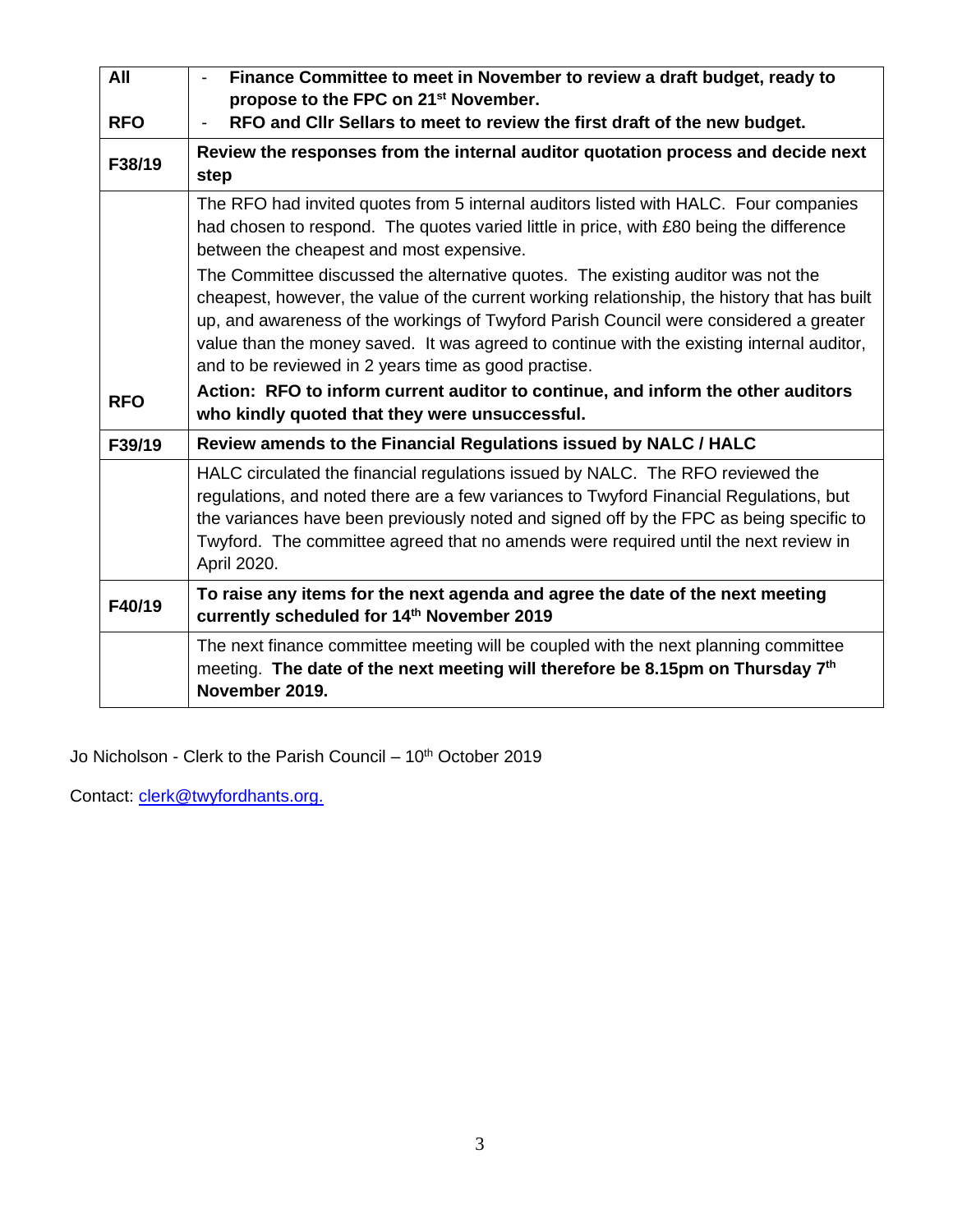| All        | Finance Committee to meet in November to review a draft budget, ready to<br>propose to the FPC on 21 <sup>st</sup> November.                                                                                                                                                                                                                                                                                                   |
|------------|--------------------------------------------------------------------------------------------------------------------------------------------------------------------------------------------------------------------------------------------------------------------------------------------------------------------------------------------------------------------------------------------------------------------------------|
| <b>RFO</b> | RFO and CIIr Sellars to meet to review the first draft of the new budget.                                                                                                                                                                                                                                                                                                                                                      |
| F38/19     | Review the responses from the internal auditor quotation process and decide next<br>step                                                                                                                                                                                                                                                                                                                                       |
|            | The RFO had invited quotes from 5 internal auditors listed with HALC. Four companies<br>had chosen to respond. The quotes varied little in price, with £80 being the difference<br>between the cheapest and most expensive.                                                                                                                                                                                                    |
|            | The Committee discussed the alternative quotes. The existing auditor was not the<br>cheapest, however, the value of the current working relationship, the history that has built<br>up, and awareness of the workings of Twyford Parish Council were considered a greater<br>value than the money saved. It was agreed to continue with the existing internal auditor,<br>and to be reviewed in 2 years time as good practise. |
| <b>RFO</b> | Action: RFO to inform current auditor to continue, and inform the other auditors<br>who kindly quoted that they were unsuccessful.                                                                                                                                                                                                                                                                                             |
| F39/19     | Review amends to the Financial Regulations issued by NALC / HALC                                                                                                                                                                                                                                                                                                                                                               |
|            | HALC circulated the financial regulations issued by NALC. The RFO reviewed the<br>regulations, and noted there are a few variances to Twyford Financial Regulations, but<br>the variances have been previously noted and signed off by the FPC as being specific to<br>Twyford. The committee agreed that no amends were required until the next review in<br>April 2020.                                                      |
| F40/19     | To raise any items for the next agenda and agree the date of the next meeting<br>currently scheduled for 14th November 2019                                                                                                                                                                                                                                                                                                    |
|            | The next finance committee meeting will be coupled with the next planning committee<br>meeting. The date of the next meeting will therefore be 8.15pm on Thursday 7th<br>November 2019.                                                                                                                                                                                                                                        |

Jo Nicholson - Clerk to the Parish Council –  $10<sup>th</sup>$  October 2019

Contact: [clerk@twyf](mailto:clerk@twy)ordhants.org.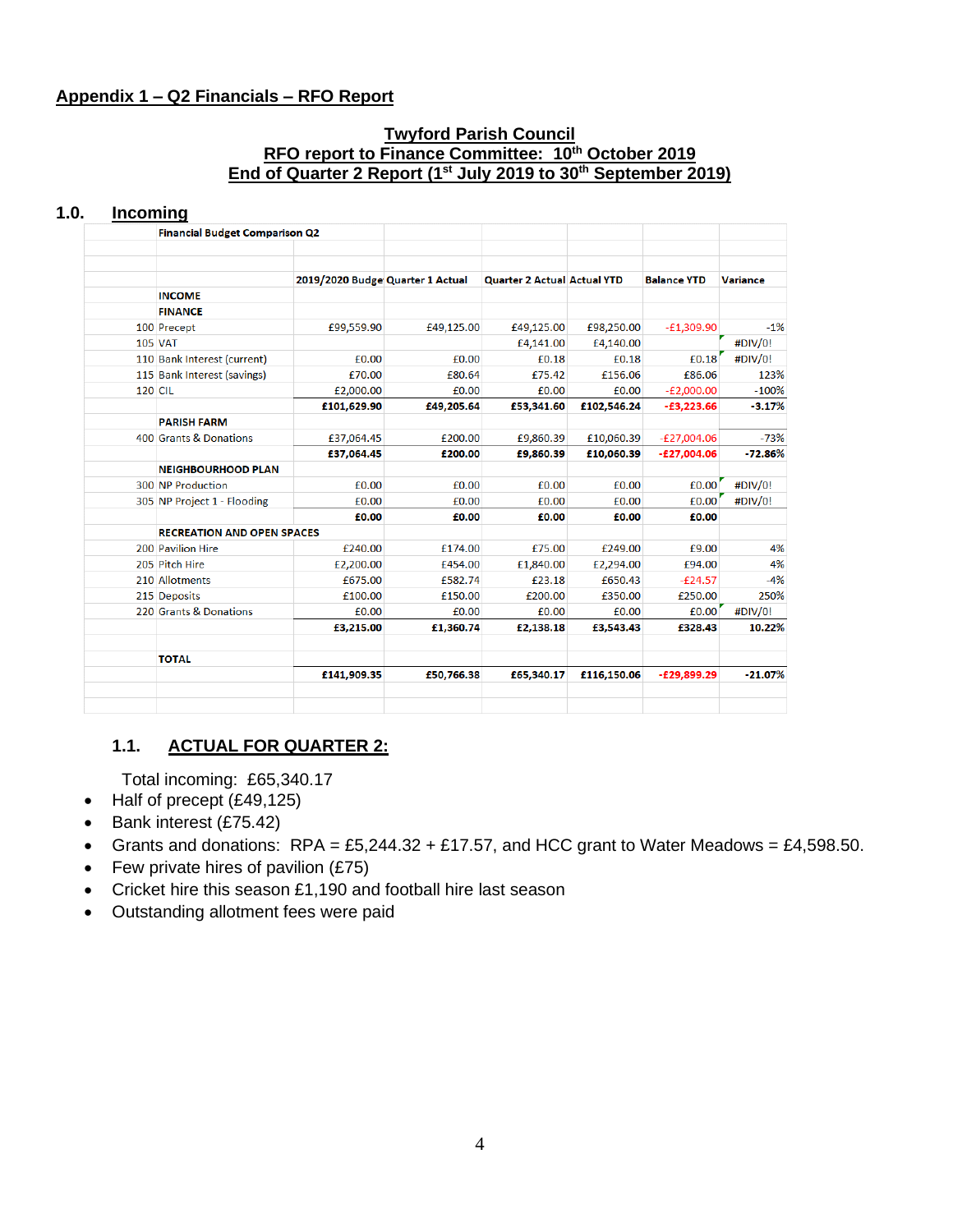#### **Appendix 1 – Q2 Financials – RFO Report**

#### **Twyford Parish Council RFO report to Finance Committee: 10th October 2019 End of Quarter 2 Report (1st July 2019 to 30th September 2019)**

#### **1.0. Incoming**

|                | <b>Financial Budget Comparison Q2</b> |                                  |            |                                    |             |                    |                 |
|----------------|---------------------------------------|----------------------------------|------------|------------------------------------|-------------|--------------------|-----------------|
|                |                                       |                                  |            |                                    |             |                    |                 |
|                |                                       | 2019/2020 Budge Quarter 1 Actual |            | <b>Quarter 2 Actual Actual YTD</b> |             | <b>Balance YTD</b> | <b>Variance</b> |
|                | <b>INCOME</b>                         |                                  |            |                                    |             |                    |                 |
|                | <b>FINANCE</b>                        |                                  |            |                                    |             |                    |                 |
|                | 100 Precept                           | £99,559.90                       | £49,125.00 | £49,125.00                         | £98,250.00  | $-E1,309.90$       | $-1%$           |
| <b>105 VAT</b> |                                       |                                  |            | £4,141.00                          | £4,140.00   |                    | #DIV/0!         |
|                | 110 Bank Interest (current)           | £0.00                            | £0.00      | £0.18                              | £0.18       | £0.18              | #DIV/0!         |
|                | 115 Bank Interest (savings)           | £70.00                           | £80.64     | £75.42                             | £156.06     | £86.06             | 123%            |
| <b>120 CIL</b> |                                       | £2,000.00                        | £0.00      | £0.00                              | £0.00       | $-E2,000.00$       | $-100%$         |
|                |                                       | £101,629.90                      | £49,205.64 | £53,341.60                         | £102,546.24 | $-£3,223.66$       | $-3.17%$        |
|                | <b>PARISH FARM</b>                    |                                  |            |                                    |             |                    |                 |
|                | 400 Grants & Donations                | £37,064.45                       | £200.00    | £9,860.39                          | £10,060.39  | $-E27,004.06$      | $-73%$          |
|                |                                       | £37,064.45                       | £200.00    | £9,860.39                          | £10,060.39  | $-E27,004.06$      | $-72.86%$       |
|                | <b>NEIGHBOURHOOD PLAN</b>             |                                  |            |                                    |             |                    |                 |
|                | 300 NP Production                     | £0.00                            | £0.00      | £0.00                              | £0.00       | £0.00              | #DIV/0!         |
|                | 305 NP Project 1 - Flooding           | £0.00                            | £0.00      | £0.00                              | £0.00       | £0.00              | #DIV/0!         |
|                |                                       | £0.00                            | £0.00      | £0.00                              | £0.00       | £0.00              |                 |
|                | <b>RECREATION AND OPEN SPACES</b>     |                                  |            |                                    |             |                    |                 |
|                | 200 Pavilion Hire                     | £240.00                          | £174.00    | £75.00                             | £249.00     | £9.00              | 4%              |
|                | 205 Pitch Hire                        | £2,200.00                        | £454.00    | £1,840.00                          | £2,294.00   | £94.00             | 4%              |
|                | 210 Allotments                        | £675.00                          | £582.74    | £23.18                             | £650.43     | $-E24.57$          | $-4%$           |
|                | 215 Deposits                          | £100.00                          | £150.00    | £200.00                            | £350.00     | £250.00            | 250%            |
|                | 220 Grants & Donations                | £0.00                            | £0.00      | £0.00                              | £0.00       | £0.00              | #DIV/0!         |
|                |                                       | £3,215.00                        | £1,360.74  | £2,138.18                          | £3,543,43   | £328.43            | 10.22%          |
|                | <b>TOTAL</b>                          |                                  |            |                                    |             |                    |                 |
|                |                                       | £141,909.35                      | £50,766.38 | £65,340.17                         | £116,150.06 | $-E29,899.29$      | $-21.07%$       |

### **1.1. ACTUAL FOR QUARTER 2:**

Total incoming: £65,340.17

- Half of precept (£49,125)
- Bank interest (£75.42)
- Grants and donations:  $RPA = £5,244.32 + £17.57$ , and HCC grant to Water Meadows = £4,598.50.
- Few private hires of pavilion (£75)
- Cricket hire this season £1,190 and football hire last season
- Outstanding allotment fees were paid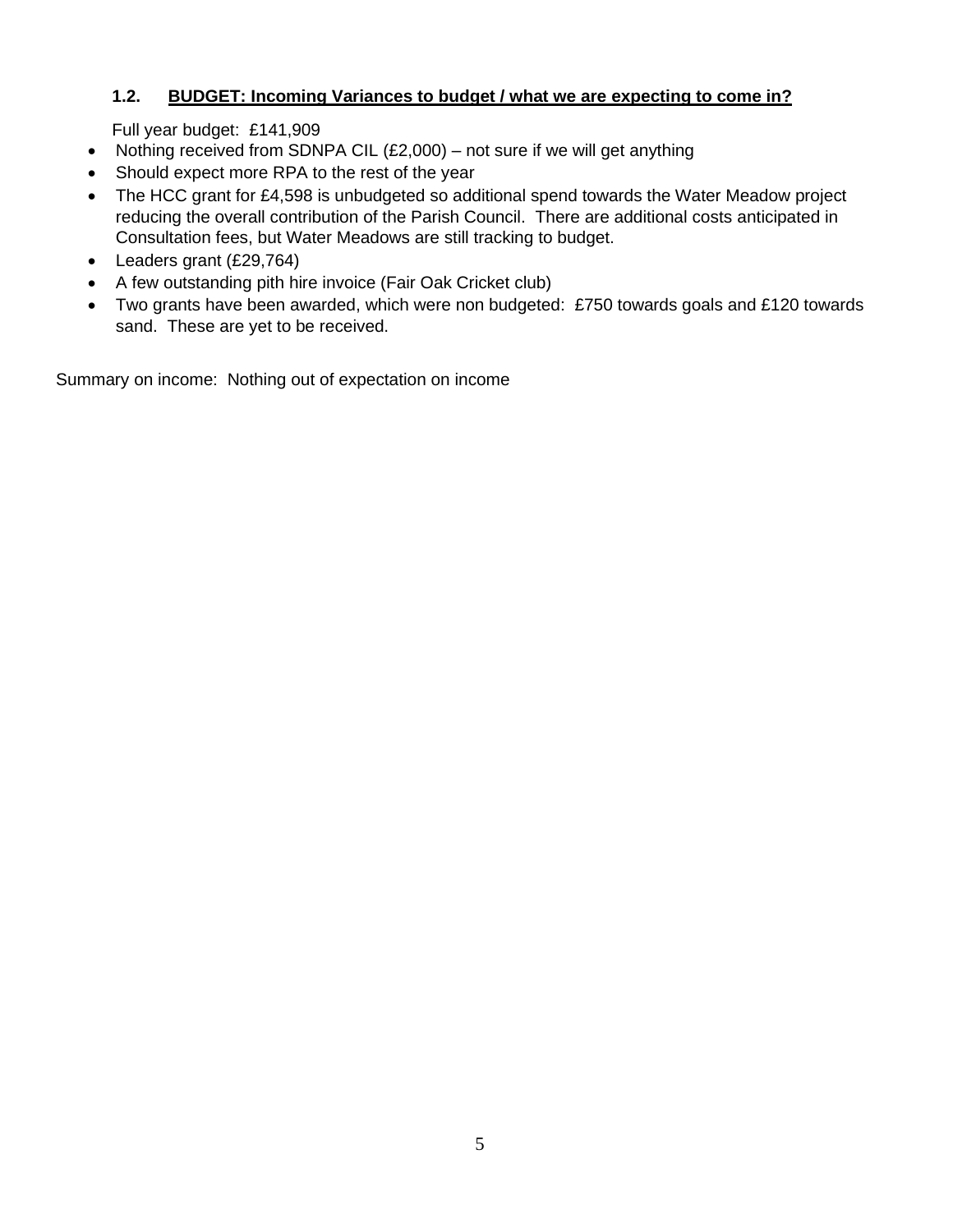## **1.2. BUDGET: Incoming Variances to budget / what we are expecting to come in?**

Full year budget: £141,909

- Nothing received from SDNPA CIL  $(E2,000)$  not sure if we will get anything
- Should expect more RPA to the rest of the year
- The HCC grant for £4,598 is unbudgeted so additional spend towards the Water Meadow project reducing the overall contribution of the Parish Council. There are additional costs anticipated in Consultation fees, but Water Meadows are still tracking to budget.
- Leaders grant (£29,764)
- A few outstanding pith hire invoice (Fair Oak Cricket club)
- Two grants have been awarded, which were non budgeted: £750 towards goals and £120 towards sand. These are yet to be received.

Summary on income: Nothing out of expectation on income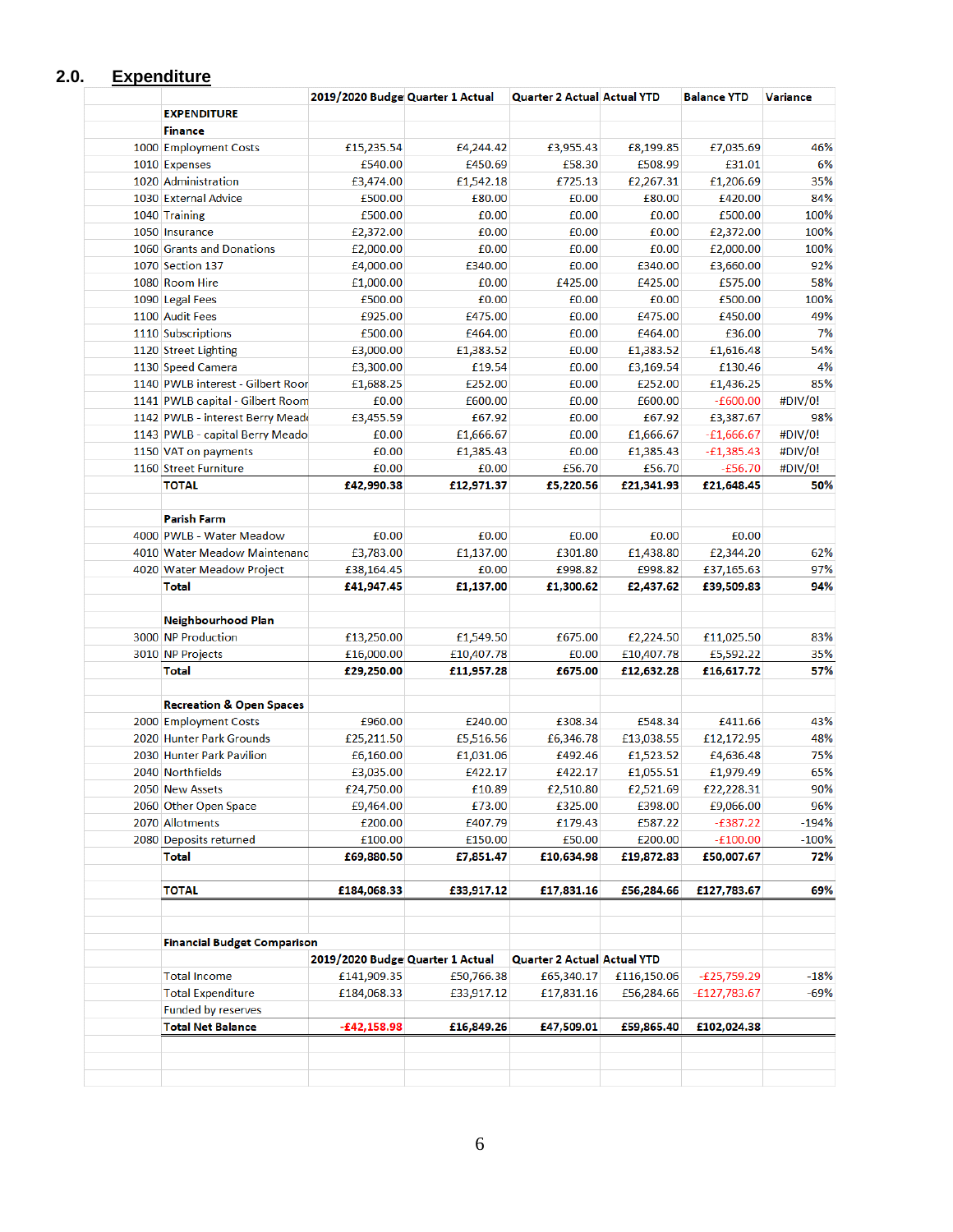### **2.0. Expenditure**

|                                     | 2019/2020 Budge Quarter 1 Actual |                      | <b>Quarter 2 Actual Actual YTD</b> |                      | <b>Balance YTD</b>      | <b>Variance</b> |
|-------------------------------------|----------------------------------|----------------------|------------------------------------|----------------------|-------------------------|-----------------|
| <b>EXPENDITURE</b>                  |                                  |                      |                                    |                      |                         |                 |
| <b>Finance</b>                      |                                  |                      |                                    |                      |                         |                 |
| 1000 Employment Costs               | £15,235.54                       | £4,244.42            | £3,955.43                          | £8,199.85            | £7,035.69               | 46%             |
| 1010 Expenses                       | £540.00                          | £450.69              | £58.30                             | £508.99              | £31.01                  | 6%              |
| 1020 Administration                 | £3,474.00                        | £1,542.18            | £725.13                            | £2,267.31            | £1,206.69               | 35%             |
| 1030 External Advice                | £500.00                          | £80.00               | £0.00                              | £80.00               | £420.00                 | 84%             |
| 1040 Training                       | £500.00                          | £0.00                | £0.00                              | £0.00                | £500.00                 | 100%            |
| 1050 Insurance                      | £2,372.00                        | £0.00                | £0.00                              | £0.00                | £2,372.00               | 100%            |
| 1060 Grants and Donations           | £2,000.00                        | £0.00                | £0.00                              | £0.00                | £2,000.00               | 100%            |
| 1070 Section 137                    | £4,000.00                        | £340.00              | £0.00                              | £340.00              | £3,660.00               | 92%             |
| 1080 Room Hire                      | £1,000.00                        | £0.00                | £425.00                            | £425.00              | £575.00                 | 58%             |
| 1090 Legal Fees                     | £500.00                          | £0.00                | £0.00                              | £0.00                | £500.00                 | 100%            |
| 1100 Audit Fees                     | £925.00                          | £475.00              | £0.00                              | £475.00              | £450.00                 | 49%             |
| 1110 Subscriptions                  | £500.00                          | £464.00              | £0.00                              | £464.00              | £36.00                  | 7%              |
| 1120 Street Lighting                | £3,000.00                        | £1,383.52            | £0.00                              | £1,383.52            | £1,616.48               | 54%             |
| 1130 Speed Camera                   | £3,300.00                        | £19.54               | £0.00                              | £3,169.54            | £130.46                 | 4%              |
| 1140 PWLB interest - Gilbert Roor   | £1,688.25                        | £252.00              | £0.00                              | £252.00              | £1,436.25               | 85%             |
| 1141 PWLB capital - Gilbert Room    | £0.00                            | £600.00              | £0.00                              | £600.00              | $-£600.00$              | #DIV/0!         |
| 1142 PWLB - interest Berry Meado    | £3,455.59                        | £67.92               | £0.00                              | £67.92               | £3,387.67               | 98%             |
| 1143 PWLB - capital Berry Meado     | £0.00                            | £1,666.67            | £0.00                              | £1,666.67            | $-£1,666.67$            | #DIV/0!         |
| 1150 VAT on payments                | £0.00                            | £1,385.43            | £0.00                              | £1,385.43            | $-£1,385.43$            | #DIV/0!         |
| 1160 Street Furniture               | £0.00                            | £0.00                | £56.70                             | £56.70               | $-£56.70$               | #DIV/0!         |
| <b>TOTAL</b>                        | £42,990.38                       | £12,971.37           | £5,220.56                          | £21,341.93           | £21,648.45              | 50%             |
|                                     |                                  |                      |                                    |                      |                         |                 |
| <b>Parish Farm</b>                  |                                  |                      |                                    |                      |                         |                 |
| 4000 PWLB - Water Meadow            | £0.00                            | £0.00                | £0.00                              | £0.00                | £0.00                   |                 |
| 4010 Water Meadow Maintenand        | £3,783.00                        | £1,137.00            | £301.80                            | £1,438.80            | £2,344.20               | 62%             |
| 4020 Water Meadow Project           | £38,164.45                       | £0.00                | £998.82                            | £998.82              | £37,165.63              | 97%             |
| <b>Total</b>                        | £41,947.45                       | £1,137.00            | £1,300.62                          | £2,437.62            | £39,509.83              | 94%             |
| Neighbourhood Plan                  |                                  |                      |                                    |                      |                         |                 |
| 3000 NP Production                  | £13,250.00                       | £1,549.50            | £675.00                            | £2,224.50            | £11,025.50              | 83%             |
| 3010 NP Projects                    | £16,000.00                       | £10,407.78           | £0.00                              | £10,407.78           | £5,592.22               | 35%             |
| <b>Total</b>                        | £29,250.00                       | £11,957.28           | £675.00                            | £12,632.28           | £16,617.72              | 57%             |
| <b>Recreation &amp; Open Spaces</b> |                                  |                      |                                    |                      |                         |                 |
| 2000 Employment Costs               | £960.00                          | £240.00              | £308.34                            | £548.34              | £411.66                 | 43%             |
| 2020 Hunter Park Grounds            | £25,211.50                       | £5,516.56            | £6,346.78                          | £13,038.55           | £12,172.95              | 48%             |
| 2030 Hunter Park Pavilion           | £6,160.00                        | £1,031.06            | £492.46                            | £1,523.52            | £4,636.48               | 75%             |
| 2040 Northfields                    | £3,035.00                        | £422.17              | £422.17                            | £1,055.51            | £1,979.49               | 65%             |
| 2050 New Assets                     | £24,750.00                       | £10.89               |                                    |                      |                         | 90%             |
| 2060 Other Open Space               | £9,464.00                        | £73.00               | £2,510.80<br>£325.00               | £2,521.69<br>£398.00 | £22,228.31<br>£9,066.00 | 96%             |
| 2070 Allotments                     | £200.00                          | £407.79              | £179.43                            | £587.22              | $-£387.22$              | $-194%$         |
|                                     | £100.00                          |                      | £50.00                             | £200.00              | $-£100.00$              | $-100%$         |
| 2080 Deposits returned<br>Total     | £69,880.50                       | £150.00<br>£7,851.47 | £10,634.98                         | £19,872.83           | £50,007.67              | 72%             |
|                                     |                                  |                      |                                    |                      |                         |                 |
| TOTAL                               | £184,068.33                      | £33,917.12           | £17,831.16                         | £56,284.66           | £127,783.67             | 69%             |
|                                     |                                  |                      |                                    |                      |                         |                 |
| <b>Financial Budget Comparison</b>  | 2019/2020 Budge Quarter 1 Actual |                      | <b>Quarter 2 Actual Actual YTD</b> |                      |                         |                 |
| <b>Total Income</b>                 | £141,909.35                      | £50,766.38           | £65,340.17                         | £116,150.06          | $-E25,759.29$           | $-18%$          |
| <b>Total Expenditure</b>            | £184,068.33                      | £33,917.12           | £17,831.16                         | £56,284.66           | $-£127,783.67$          | -69%            |
| <b>Funded by reserves</b>           |                                  |                      |                                    |                      |                         |                 |
| <b>Total Net Balance</b>            | -£42,158.98                      | £16,849.26           | £47,509.01                         | £59,865.40           | £102,024.38             |                 |
|                                     |                                  |                      |                                    |                      |                         |                 |
|                                     |                                  |                      |                                    |                      |                         |                 |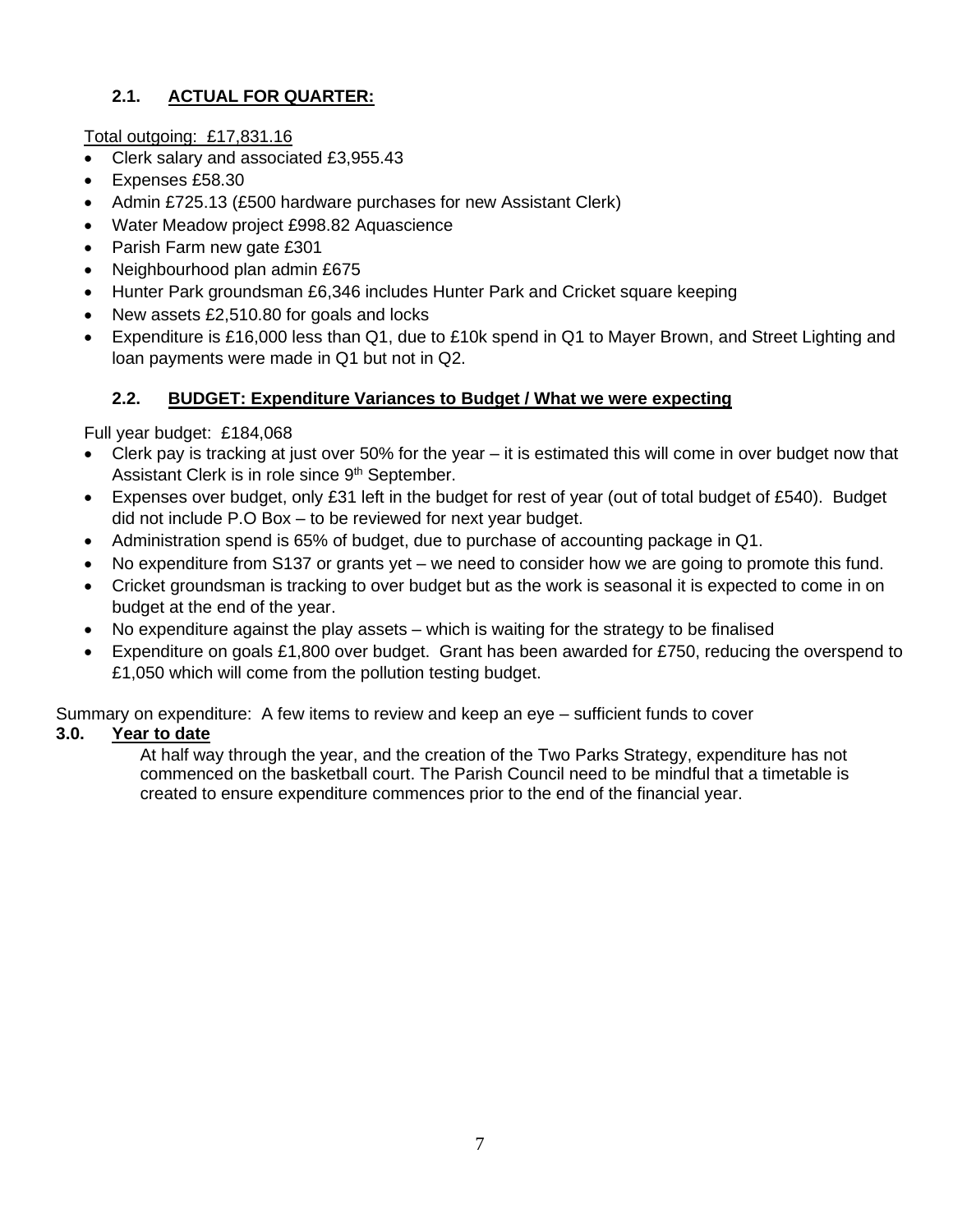# **2.1. ACTUAL FOR QUARTER:**

Total outgoing: £17,831.16

- Clerk salary and associated £3,955.43
- Expenses £58.30
- Admin £725.13 (£500 hardware purchases for new Assistant Clerk)
- Water Meadow project £998.82 Aquascience
- Parish Farm new gate £301
- Neighbourhood plan admin £675
- Hunter Park groundsman £6,346 includes Hunter Park and Cricket square keeping
- New assets £2,510.80 for goals and locks
- Expenditure is £16,000 less than Q1, due to £10k spend in Q1 to Mayer Brown, and Street Lighting and loan payments were made in Q1 but not in Q2.

### **2.2. BUDGET: Expenditure Variances to Budget / What we were expecting**

Full year budget: £184,068

- Clerk pay is tracking at just over 50% for the year it is estimated this will come in over budget now that Assistant Clerk is in role since 9<sup>th</sup> September.
- Expenses over budget, only £31 left in the budget for rest of year (out of total budget of £540). Budget did not include P.O Box – to be reviewed for next year budget.
- Administration spend is 65% of budget, due to purchase of accounting package in Q1.
- No expenditure from S137 or grants yet we need to consider how we are going to promote this fund.
- Cricket groundsman is tracking to over budget but as the work is seasonal it is expected to come in on budget at the end of the year.
- No expenditure against the play assets which is waiting for the strategy to be finalised
- Expenditure on goals £1,800 over budget. Grant has been awarded for £750, reducing the overspend to £1,050 which will come from the pollution testing budget.

Summary on expenditure: A few items to review and keep an eye – sufficient funds to cover

#### **3.0. Year to date**

At half way through the year, and the creation of the Two Parks Strategy, expenditure has not commenced on the basketball court. The Parish Council need to be mindful that a timetable is created to ensure expenditure commences prior to the end of the financial year.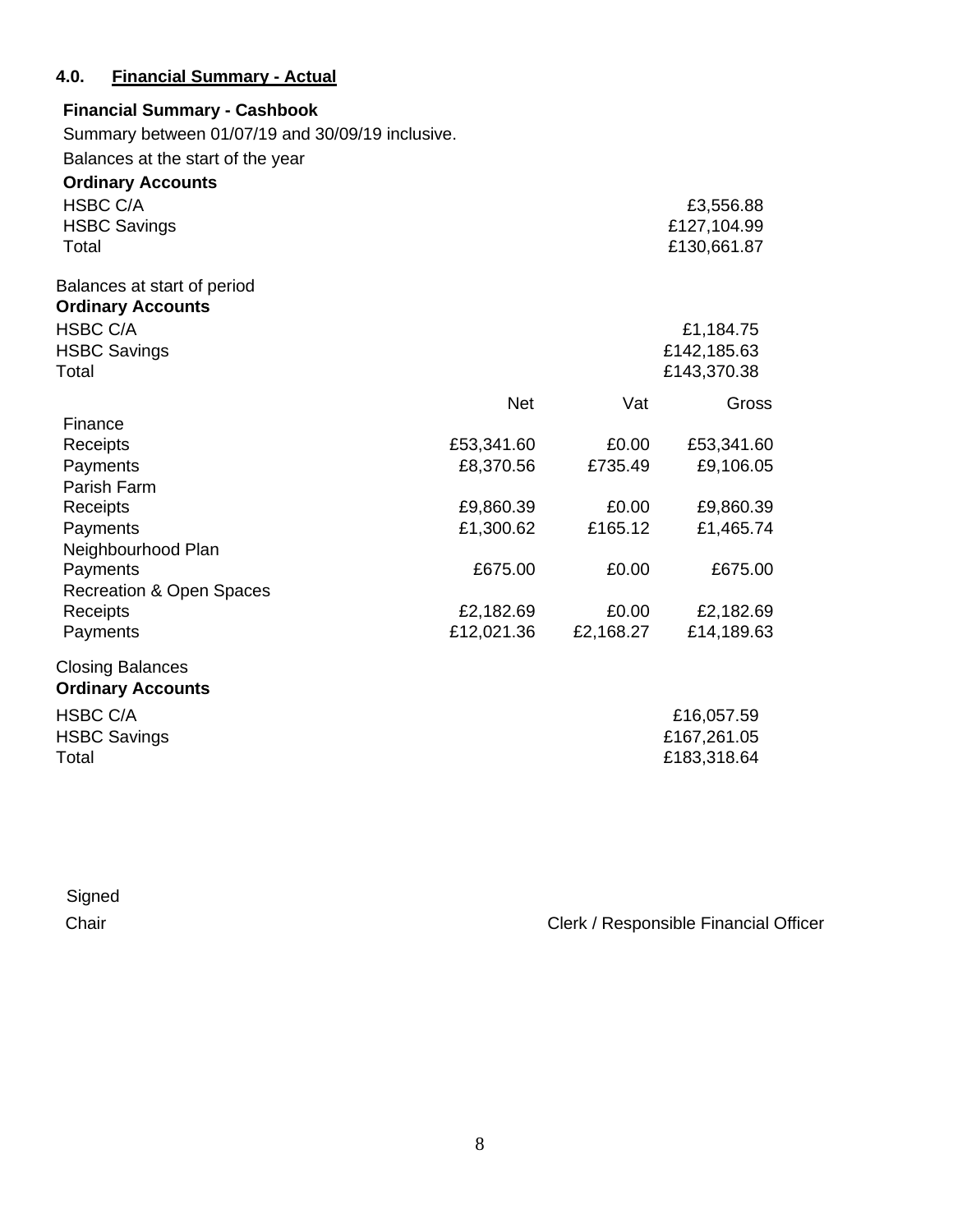## **4.0. Financial Summary - Actual**

| <b>Financial Summary - Cashbook</b>              |            |           |             |
|--------------------------------------------------|------------|-----------|-------------|
| Summary between 01/07/19 and 30/09/19 inclusive. |            |           |             |
| Balances at the start of the year                |            |           |             |
| <b>Ordinary Accounts</b>                         |            |           |             |
| <b>HSBC C/A</b>                                  |            |           | £3,556.88   |
| <b>HSBC Savings</b>                              |            |           | £127,104.99 |
| Total                                            |            |           | £130,661.87 |
| Balances at start of period                      |            |           |             |
| <b>Ordinary Accounts</b>                         |            |           |             |
| <b>HSBC C/A</b>                                  |            |           | £1,184.75   |
| <b>HSBC Savings</b>                              |            |           | £142,185.63 |
| Total                                            |            |           | £143,370.38 |
|                                                  | <b>Net</b> | Vat       | Gross       |
| Finance                                          |            |           |             |
| Receipts                                         | £53,341.60 | £0.00     | £53,341.60  |
| Payments                                         | £8,370.56  | £735.49   | £9,106.05   |
| Parish Farm                                      |            |           |             |
| Receipts                                         | £9,860.39  | £0.00     | £9,860.39   |
| Payments                                         | £1,300.62  | £165.12   | £1,465.74   |
| Neighbourhood Plan                               |            |           |             |
| Payments                                         | £675.00    | £0.00     | £675.00     |
| <b>Recreation &amp; Open Spaces</b>              |            |           |             |
| Receipts                                         | £2,182.69  | £0.00     | £2,182.69   |
| Payments                                         | £12,021.36 | £2,168.27 | £14,189.63  |
| <b>Closing Balances</b>                          |            |           |             |
| <b>Ordinary Accounts</b>                         |            |           |             |
| <b>HSBC C/A</b>                                  |            |           | £16,057.59  |
| <b>HSBC Savings</b>                              |            |           | £167,261.05 |
| Total                                            |            |           | £183,318.64 |
|                                                  |            |           |             |

| Signed |                                       |
|--------|---------------------------------------|
| Chair  | Clerk / Responsible Financial Officer |